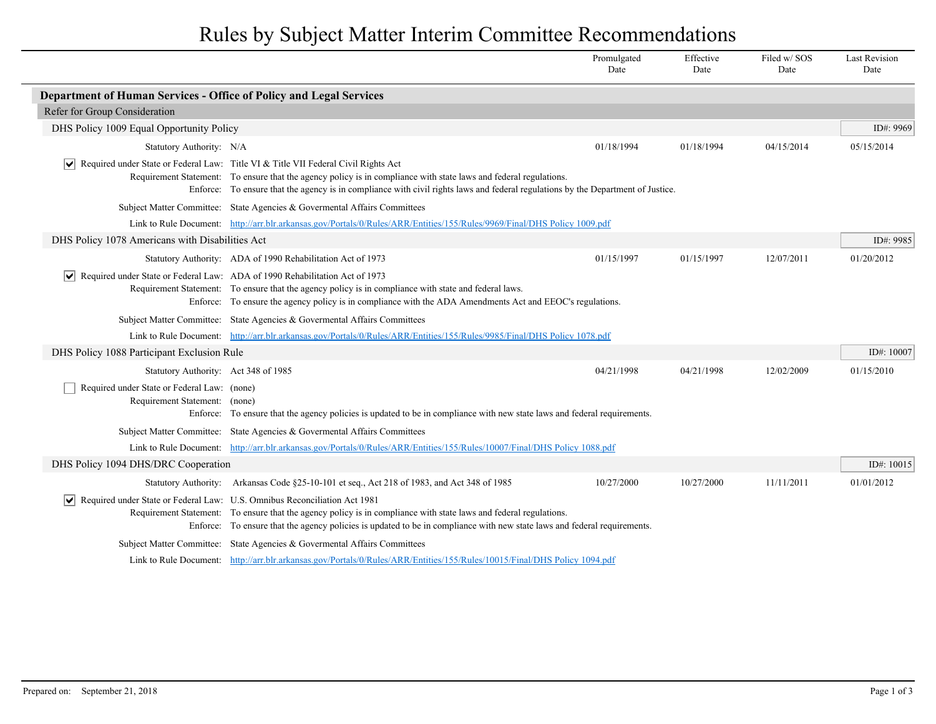## Rules by Subject Matter Interim Committee Recommendations

|                                                                                                               |                                                                                                                                                                                                                                                                                                                                                            | Promulgated<br>Date | Effective<br>Date | Filed w/SOS<br>Date | <b>Last Revision</b><br>Date |
|---------------------------------------------------------------------------------------------------------------|------------------------------------------------------------------------------------------------------------------------------------------------------------------------------------------------------------------------------------------------------------------------------------------------------------------------------------------------------------|---------------------|-------------------|---------------------|------------------------------|
| Department of Human Services - Office of Policy and Legal Services                                            |                                                                                                                                                                                                                                                                                                                                                            |                     |                   |                     |                              |
| Refer for Group Consideration                                                                                 |                                                                                                                                                                                                                                                                                                                                                            |                     |                   |                     |                              |
| DHS Policy 1009 Equal Opportunity Policy                                                                      |                                                                                                                                                                                                                                                                                                                                                            |                     |                   |                     | ID#: 9969                    |
| Statutory Authority: N/A                                                                                      |                                                                                                                                                                                                                                                                                                                                                            | 01/18/1994          | 01/18/1994        | 04/15/2014          | 05/15/2014                   |
|                                                                                                               | $ \mathbf{v} $ Required under State or Federal Law: Title VI & Title VII Federal Civil Rights Act<br>Requirement Statement: To ensure that the agency policy is in compliance with state laws and federal regulations.<br>Enforce: To ensure that the agency is in compliance with civil rights laws and federal regulations by the Department of Justice. |                     |                   |                     |                              |
|                                                                                                               | Subject Matter Committee: State Agencies & Governental Affairs Committees                                                                                                                                                                                                                                                                                  |                     |                   |                     |                              |
|                                                                                                               | Link to Rule Document: http://arr.blr.arkansas.gov/Portals/0/Rules/ARR/Entities/155/Rules/9969/Final/DHS Policy 1009.pdf                                                                                                                                                                                                                                   |                     |                   |                     |                              |
| DHS Policy 1078 Americans with Disabilities Act                                                               |                                                                                                                                                                                                                                                                                                                                                            |                     |                   |                     | ID#: 9985                    |
|                                                                                                               | Statutory Authority: ADA of 1990 Rehabilitation Act of 1973                                                                                                                                                                                                                                                                                                | 01/15/1997          | 01/15/1997        | 12/07/2011          | 01/20/2012                   |
| $\vert \blacktriangleright \vert$ Required under State or Federal Law: ADA of 1990 Rehabilitation Act of 1973 | Requirement Statement: To ensure that the agency policy is in compliance with state and federal laws.<br>Enforce: To ensure the agency policy is in compliance with the ADA Amendments Act and EEOC's regulations.                                                                                                                                         |                     |                   |                     |                              |
|                                                                                                               | Subject Matter Committee: State Agencies & Governental Affairs Committees                                                                                                                                                                                                                                                                                  |                     |                   |                     |                              |
|                                                                                                               | Link to Rule Document: http://arr.blr.arkansas.gov/Portals/0/Rules/ARR/Entities/155/Rules/9985/Final/DHS Policy 1078.pdf                                                                                                                                                                                                                                   |                     |                   |                     |                              |
| DHS Policy 1088 Participant Exclusion Rule                                                                    |                                                                                                                                                                                                                                                                                                                                                            |                     |                   |                     | ID#: 10007                   |
| Statutory Authority: Act 348 of 1985                                                                          |                                                                                                                                                                                                                                                                                                                                                            | 04/21/1998          | 04/21/1998        | 12/02/2009          | 01/15/2010                   |
| Required under State or Federal Law: (none)<br>Requirement Statement: (none)                                  | Enforce: To ensure that the agency policies is updated to be in compliance with new state laws and federal requirements.                                                                                                                                                                                                                                   |                     |                   |                     |                              |
|                                                                                                               | Subject Matter Committee: State Agencies & Governental Affairs Committees                                                                                                                                                                                                                                                                                  |                     |                   |                     |                              |
|                                                                                                               | Link to Rule Document: http://arr.blr.arkansas.gov/Portals/0/Rules/ARR/Entities/155/Rules/10007/Final/DHS Policy 1088.pdf                                                                                                                                                                                                                                  |                     |                   |                     |                              |
| DHS Policy 1094 DHS/DRC Cooperation                                                                           |                                                                                                                                                                                                                                                                                                                                                            |                     |                   |                     | ID#: 10015                   |
|                                                                                                               | Statutory Authority: Arkansas Code §25-10-101 et seq., Act 218 of 1983, and Act 348 of 1985                                                                                                                                                                                                                                                                | 10/27/2000          | 10/27/2000        | 11/11/2011          | 01/01/2012                   |
| Required under State or Federal Law: U.S. Omnibus Reconciliation Act 1981                                     | Requirement Statement: To ensure that the agency policy is in compliance with state laws and federal regulations.<br>Enforce: To ensure that the agency policies is updated to be in compliance with new state laws and federal requirements.                                                                                                              |                     |                   |                     |                              |
|                                                                                                               | Subject Matter Committee: State Agencies & Governental Affairs Committees                                                                                                                                                                                                                                                                                  |                     |                   |                     |                              |
|                                                                                                               | Link to Rule Document: http://arr.blr.arkansas.gov/Portals/0/Rules/ARR/Entities/155/Rules/10015/Final/DHS Policy 1094.pdf                                                                                                                                                                                                                                  |                     |                   |                     |                              |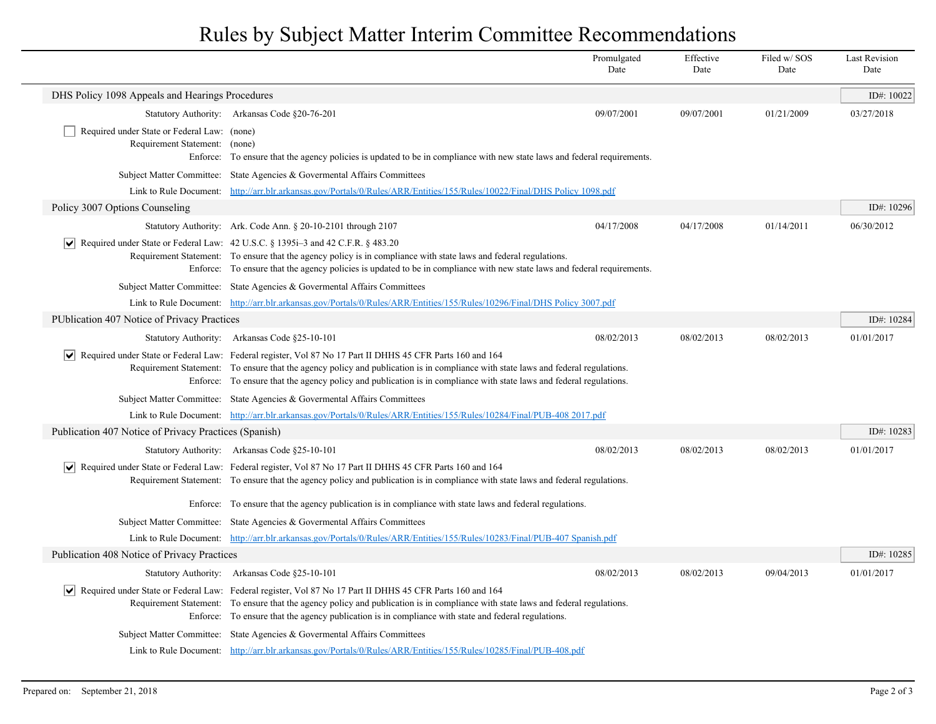## Rules by Subject Matter Interim Committee Recommendations

|                                                                              |                                                                                                                                                                                                                                                                                                                                                                       | Promulgated<br>Date | Effective<br>Date | Filed w/SOS<br>Date | <b>Last Revision</b><br>Date |
|------------------------------------------------------------------------------|-----------------------------------------------------------------------------------------------------------------------------------------------------------------------------------------------------------------------------------------------------------------------------------------------------------------------------------------------------------------------|---------------------|-------------------|---------------------|------------------------------|
| DHS Policy 1098 Appeals and Hearings Procedures                              |                                                                                                                                                                                                                                                                                                                                                                       |                     |                   |                     | ID#: 10022                   |
|                                                                              | Statutory Authority: Arkansas Code §20-76-201                                                                                                                                                                                                                                                                                                                         | 09/07/2001          | 09/07/2001        | 01/21/2009          | 03/27/2018                   |
| Required under State or Federal Law: (none)<br>Requirement Statement: (none) | Enforce: To ensure that the agency policies is updated to be in compliance with new state laws and federal requirements.                                                                                                                                                                                                                                              |                     |                   |                     |                              |
|                                                                              | Subject Matter Committee: State Agencies & Governental Affairs Committees                                                                                                                                                                                                                                                                                             |                     |                   |                     |                              |
|                                                                              | Link to Rule Document: http://arr.blr.arkansas.gov/Portals/0/Rules/ARR/Entities/155/Rules/10022/Final/DHS Policy 1098.pdf                                                                                                                                                                                                                                             |                     |                   |                     |                              |
| Policy 3007 Options Counseling                                               |                                                                                                                                                                                                                                                                                                                                                                       |                     |                   |                     | ID#: 10296                   |
|                                                                              | Statutory Authority: Ark. Code Ann. § 20-10-2101 through 2107                                                                                                                                                                                                                                                                                                         | 04/17/2008          | 04/17/2008        | 01/14/2011          | 06/30/2012                   |
| $ \vee $                                                                     | Required under State or Federal Law: 42 U.S.C. § 1395i–3 and 42 C.F.R. § 483.20<br>Requirement Statement: To ensure that the agency policy is in compliance with state laws and federal regulations.<br>Enforce: To ensure that the agency policies is updated to be in compliance with new state laws and federal requirements.                                      |                     |                   |                     |                              |
|                                                                              | Subject Matter Committee: State Agencies & Governental Affairs Committees                                                                                                                                                                                                                                                                                             |                     |                   |                     |                              |
|                                                                              | Link to Rule Document: http://arr.blr.arkansas.gov/Portals/0/Rules/ARR/Entities/155/Rules/10296/Final/DHS Policy 3007.pdf                                                                                                                                                                                                                                             |                     |                   |                     |                              |
| PUblication 407 Notice of Privacy Practices                                  |                                                                                                                                                                                                                                                                                                                                                                       |                     |                   |                     | ID#: 10284                   |
|                                                                              | Statutory Authority: Arkansas Code §25-10-101                                                                                                                                                                                                                                                                                                                         | 08/02/2013          | 08/02/2013        | 08/02/2013          | 01/01/2017                   |
|                                                                              | Required under State or Federal Law: Federal register, Vol 87 No 17 Part II DHHS 45 CFR Parts 160 and 164<br>Requirement Statement: To ensure that the agency policy and publication is in compliance with state laws and federal regulations.<br>Enforce: To ensure that the agency policy and publication is in compliance with state laws and federal regulations. |                     |                   |                     |                              |
|                                                                              | Subject Matter Committee: State Agencies & Governental Affairs Committees                                                                                                                                                                                                                                                                                             |                     |                   |                     |                              |
|                                                                              | Link to Rule Document: http://arr.blr.arkansas.gov/Portals/0/Rules/ARR/Entities/155/Rules/10284/Final/PUB-408 2017.pdf                                                                                                                                                                                                                                                |                     |                   |                     |                              |
| Publication 407 Notice of Privacy Practices (Spanish)                        |                                                                                                                                                                                                                                                                                                                                                                       |                     |                   |                     | ID#: 10283                   |
|                                                                              | Statutory Authority: Arkansas Code §25-10-101                                                                                                                                                                                                                                                                                                                         | 08/02/2013          | 08/02/2013        | 08/02/2013          | 01/01/2017                   |
|                                                                              | Required under State or Federal Law: Federal register, Vol 87 No 17 Part II DHHS 45 CFR Parts 160 and 164<br>Requirement Statement: To ensure that the agency policy and publication is in compliance with state laws and federal regulations.                                                                                                                        |                     |                   |                     |                              |
|                                                                              | Enforce: To ensure that the agency publication is in compliance with state laws and federal regulations.                                                                                                                                                                                                                                                              |                     |                   |                     |                              |
|                                                                              | Subject Matter Committee: State Agencies & Governental Affairs Committees                                                                                                                                                                                                                                                                                             |                     |                   |                     |                              |
|                                                                              | Link to Rule Document: http://arr.blr.arkansas.gov/Portals/0/Rules/ARR/Entities/155/Rules/10283/Final/PUB-407 Spanish.pdf                                                                                                                                                                                                                                             |                     |                   |                     |                              |
| Publication 408 Notice of Privacy Practices                                  |                                                                                                                                                                                                                                                                                                                                                                       |                     |                   |                     | ID#: 10285                   |
|                                                                              | Statutory Authority: Arkansas Code §25-10-101                                                                                                                                                                                                                                                                                                                         | 08/02/2013          | 08/02/2013        | 09/04/2013          | 01/01/2017                   |
|                                                                              | Required under State or Federal Law: Federal register, Vol 87 No 17 Part II DHHS 45 CFR Parts 160 and 164<br>Requirement Statement: To ensure that the agency policy and publication is in compliance with state laws and federal regulations.<br>Enforce: To ensure that the agency publication is in compliance with state and federal regulations.                 |                     |                   |                     |                              |
|                                                                              | Subject Matter Committee: State Agencies & Governental Affairs Committees                                                                                                                                                                                                                                                                                             |                     |                   |                     |                              |
|                                                                              | Link to Rule Document: http://arr.blr.arkansas.gov/Portals/0/Rules/ARR/Entities/155/Rules/10285/Final/PUB-408.pdf                                                                                                                                                                                                                                                     |                     |                   |                     |                              |

 $\overline{\phantom{a}}$